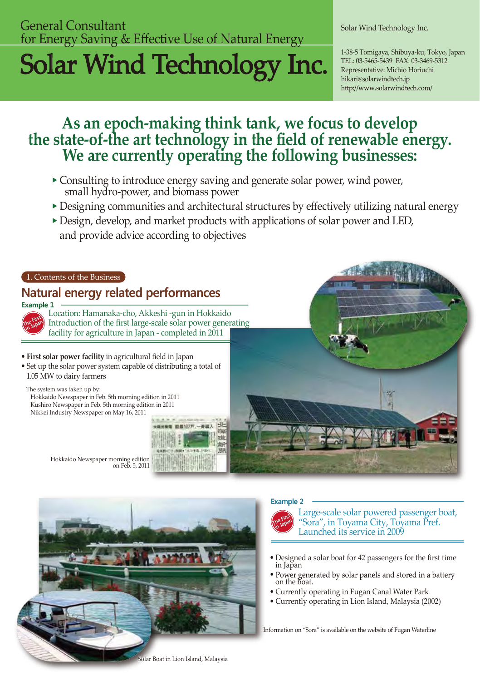# **General Consultant** Solar Wind Technology Inc. for Energy Saving & Effective Use of Natural Energy

# Solar Wind Technology Inc. Representative: Michigan Alexander States, Japan

TEL: 03-5465-5439 FAX: 03-3469-5312 Representative: Michio Horiuchi hikari@solarwindtech.jp http://www.solarwindtech.com/

# As an epoch-making think tank, we focus to develop the state-of-the art technology in the field of renewable energy. We are currently operating the following businesses:

- Consulting to introduce energy saving and generate solar power, wind power, small hydro-power, and biomass power
- Designing communities and architectural structures by effectively utilizing natural energy
- Design, develop, and market products with applications of solar power and LED, and provide advice according to objectives





#### **Example 2**



Large-scale solar powered passenger boat, "Sora", in Toyama City, Toyama Pref. Launched its service in 2009

- Designed a solar boat for 42 passengers for the first time in Japan
- Power generated by solar panels and stored in a battery on the boat.
- Currently operating in Fugan Canal Water Park
- Currently operating in Lion Island, Malaysia (2002)

Information on "Sora" is available on the website of Fugan Waterline

olar Boat in Lion Island, Malaysia